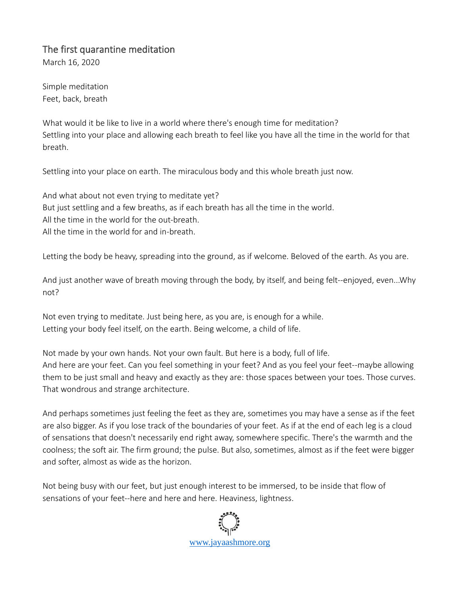## The first quarantine meditation

March 16, 2020

Simple meditation Feet, back, breath

What would it be like to live in a world where there's enough time for meditation? Settling into your place and allowing each breath to feel like you have all the time in the world for that breath.

Settling into your place on earth. The miraculous body and this whole breath just now.

And what about not even trying to meditate yet? But just settling and a few breaths, as if each breath has all the time in the world. All the time in the world for the out-breath. All the time in the world for and in-breath.

Letting the body be heavy, spreading into the ground, as if welcome. Beloved of the earth. As you are.

And just another wave of breath moving through the body, by itself, and being felt--enjoyed, even...Why not?

Not even trying to meditate. Just being here, as you are, is enough for a while. Letting your body feel itself, on the earth. Being welcome, a child of life.

Not made by your own hands. Not your own fault. But here is a body, full of life. And here are your feet. Can you feel something in your feet? And as you feel your feet--maybe allowing them to be just small and heavy and exactly as they are: those spaces between your toes. Those curves. That wondrous and strange architecture.

And perhaps sometimes just feeling the feet as they are, sometimes you may have a sense as if the feet are also bigger. As if you lose track of the boundaries of your feet. As if at the end of each leg is a cloud of sensations that doesn't necessarily end right away, somewhere specific. There's the warmth and the coolness; the soft air. The firm ground; the pulse. But also, sometimes, almost as if the feet were bigger and softer, almost as wide as the horizon.

Not being busy with our feet, but just enough interest to be immersed, to be inside that flow of sensations of your feet--here and here and here. Heaviness, lightness.

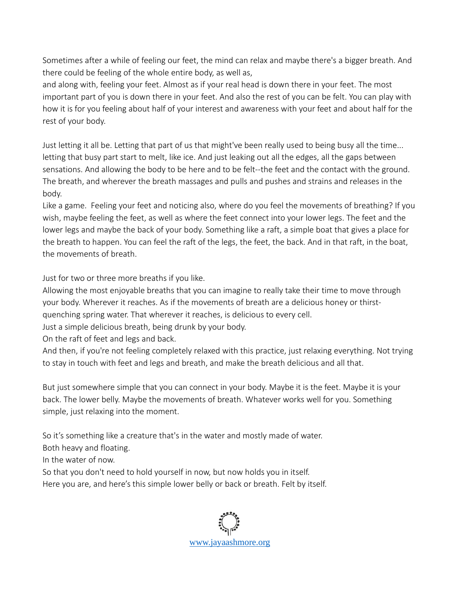Sometimes after a while of feeling our feet, the mind can relax and maybe there's a bigger breath. And there could be feeling of the whole entire body, as well as,

and along with, feeling your feet. Almost as if your real head is down there in your feet. The most important part of you is down there in your feet. And also the rest of you can be felt. You can play with how it is for you feeling about half of your interest and awareness with your feet and about half for the rest of your body.

Just letting it all be. Letting that part of us that might've been really used to being busy all the time... letting that busy part start to melt, like ice. And just leaking out all the edges, all the gaps between sensations. And allowing the body to be here and to be felt--the feet and the contact with the ground. The breath, and wherever the breath massages and pulls and pushes and strains and releases in the body.

Like a game. Feeling your feet and noticing also, where do you feel the movements of breathing? If you wish, maybe feeling the feet, as well as where the feet connect into your lower legs. The feet and the lower legs and maybe the back of your body. Something like a raft, a simple boat that gives a place for the breath to happen. You can feel the raft of the legs, the feet, the back. And in that raft, in the boat, the movements of breath.

Just for two or three more breaths if you like.

Allowing the most enjoyable breaths that you can imagine to really take their time to move through your body. Wherever it reaches. As if the movements of breath are a delicious honey or thirstquenching spring water. That wherever it reaches, is delicious to every cell.

Just a simple delicious breath, being drunk by your body.

On the raft of feet and legs and back.

And then, if you're not feeling completely relaxed with this practice, just relaxing everything. Not trying to stay in touch with feet and legs and breath, and make the breath delicious and all that.

But just somewhere simple that you can connect in your body. Maybe it is the feet. Maybe it is your back. The lower belly. Maybe the movements of breath. Whatever works well for you. Something simple, just relaxing into the moment.

So it's something like a creature that's in the water and mostly made of water.

Both heavy and floating.

In the water of now.

So that you don't need to hold yourself in now, but now holds you in itself.

Here you are, and here's this simple lower belly or back or breath. Felt by itself.